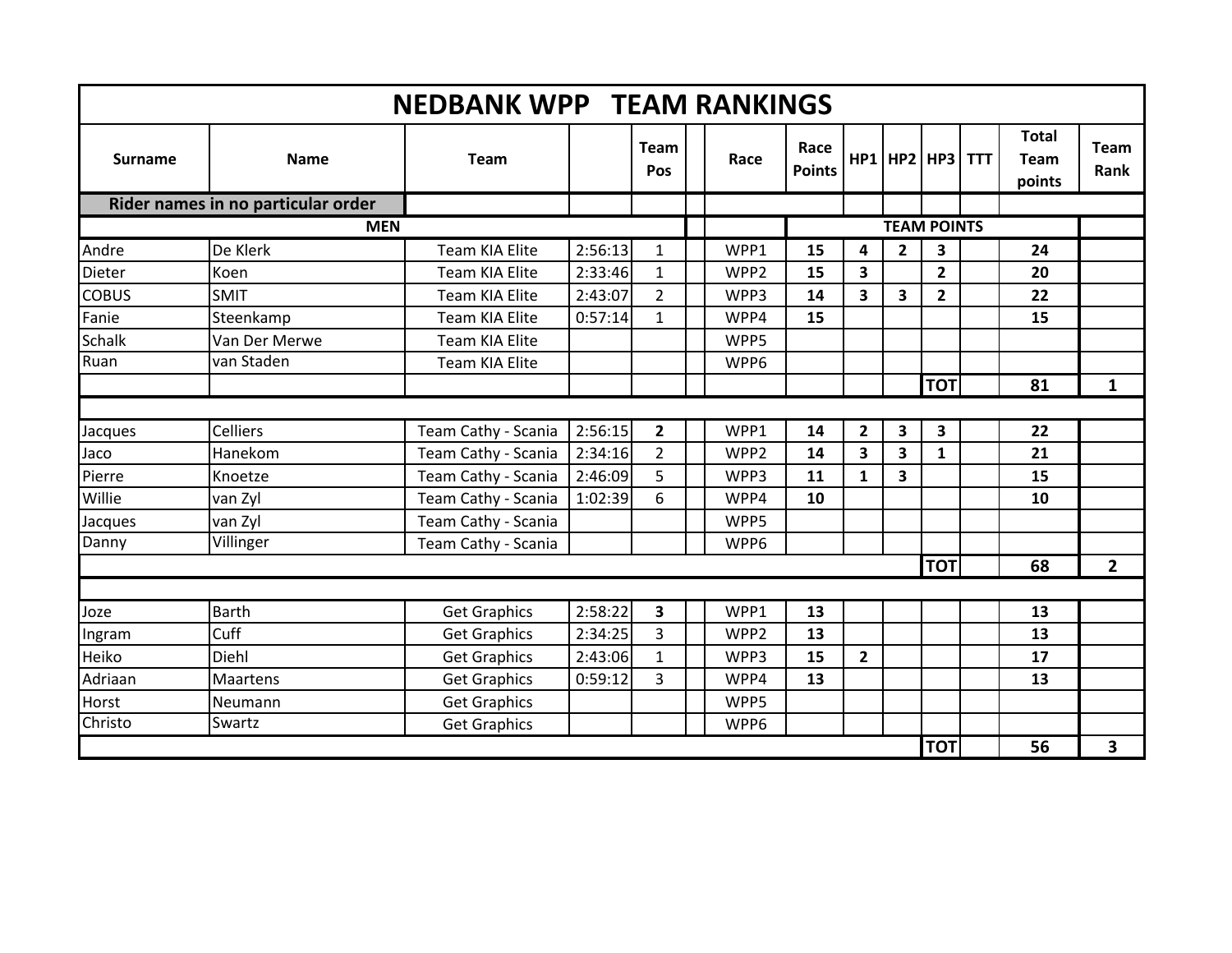|                                    |                 | <b>NEDBANK WPP TEAM RANKINGS</b> |         |                    |                  |                       |                         |                |                 |  |                                       |                     |
|------------------------------------|-----------------|----------------------------------|---------|--------------------|------------------|-----------------------|-------------------------|----------------|-----------------|--|---------------------------------------|---------------------|
| <b>Surname</b>                     | <b>Name</b>     | <b>Team</b>                      |         | <b>Team</b><br>Pos | Race             | Race<br><b>Points</b> | HP1                     |                | HP2   HP3   TTT |  | <b>Total</b><br><b>Team</b><br>points | <b>Team</b><br>Rank |
| Rider names in no particular order |                 |                                  |         |                    |                  |                       |                         |                |                 |  |                                       |                     |
| <b>MEN</b>                         |                 |                                  |         |                    |                  | <b>TEAM POINTS</b>    |                         |                |                 |  |                                       |                     |
| Andre                              | De Klerk        | Team KIA Elite                   | 2:56:13 | 1                  | WPP1             | 15                    | 4                       | $\overline{2}$ | 3               |  | 24                                    |                     |
| Dieter                             | Koen            | <b>Team KIA Elite</b>            | 2:33:46 | $\mathbf{1}$       | WPP <sub>2</sub> | 15                    | 3                       |                | $\overline{2}$  |  | 20                                    |                     |
| <b>COBUS</b>                       | <b>SMIT</b>     | Team KIA Elite                   | 2:43:07 | $\overline{2}$     | WPP3             | 14                    | $\overline{\mathbf{3}}$ | $\mathbf{3}$   | $\overline{2}$  |  | 22                                    |                     |
| Fanie                              | Steenkamp       | Team KIA Elite                   | 0:57:14 | $\mathbf{1}$       | WPP4             | 15                    |                         |                |                 |  | 15                                    |                     |
| Schalk                             | Van Der Merwe   | Team KIA Elite                   |         |                    | WPP5             |                       |                         |                |                 |  |                                       |                     |
| Ruan                               | van Staden      | Team KIA Elite                   |         |                    | WPP6             |                       |                         |                |                 |  |                                       |                     |
|                                    |                 |                                  |         |                    |                  |                       |                         |                | <b>TOT</b>      |  | 81                                    | $\mathbf{1}$        |
|                                    |                 |                                  |         |                    |                  |                       |                         |                |                 |  |                                       |                     |
| Jacques                            | <b>Celliers</b> | Team Cathy - Scania              | 2:56:15 | $\overline{2}$     | WPP1             | 14                    | $\overline{2}$          | 3              | 3               |  | 22                                    |                     |
| Jaco                               | Hanekom         | Team Cathy - Scania              | 2:34:16 | $\overline{2}$     | WPP <sub>2</sub> | 14                    | $\overline{\mathbf{3}}$ | 3              | $\mathbf{1}$    |  | 21                                    |                     |
| Pierre                             | Knoetze         | Team Cathy - Scania              | 2:46:09 | 5                  | WPP3             | 11                    | $\mathbf{1}$            | 3              |                 |  | 15                                    |                     |
| Willie                             | van Zyl         | Team Cathy - Scania              | 1:02:39 | 6                  | WPP4             | 10                    |                         |                |                 |  | 10                                    |                     |
| Jacques                            | van Zyl         | Team Cathy - Scania              |         |                    | WPP5             |                       |                         |                |                 |  |                                       |                     |
| Danny                              | Villinger       | Team Cathy - Scania              |         |                    | WPP6             |                       |                         |                |                 |  |                                       |                     |
|                                    |                 |                                  |         |                    |                  |                       |                         |                | <b>TOT</b>      |  | 68                                    | $\overline{2}$      |
|                                    |                 |                                  |         |                    |                  |                       |                         |                |                 |  |                                       |                     |
| Joze                               | <b>Barth</b>    | <b>Get Graphics</b>              | 2:58:22 | 3                  | WPP1             | 13                    |                         |                |                 |  | 13                                    |                     |
| Ingram                             | Cuff            | <b>Get Graphics</b>              | 2:34:25 | 3                  | WPP <sub>2</sub> | 13                    |                         |                |                 |  | 13                                    |                     |
| Heiko                              | Diehl           | <b>Get Graphics</b>              | 2:43:06 | $\mathbf{1}$       | WPP3             | 15                    | $\mathbf{2}$            |                |                 |  | 17                                    |                     |
| Adriaan                            | Maartens        | <b>Get Graphics</b>              | 0:59:12 | 3                  | WPP4             | 13                    |                         |                |                 |  | 13                                    |                     |
| Horst                              | Neumann         | <b>Get Graphics</b>              |         |                    | WPP5             |                       |                         |                |                 |  |                                       |                     |
| Christo                            | Swartz          | <b>Get Graphics</b>              |         |                    | WPP6             |                       |                         |                |                 |  |                                       |                     |
|                                    |                 |                                  |         |                    |                  |                       |                         |                | <b>TOT</b>      |  | 56                                    | 3                   |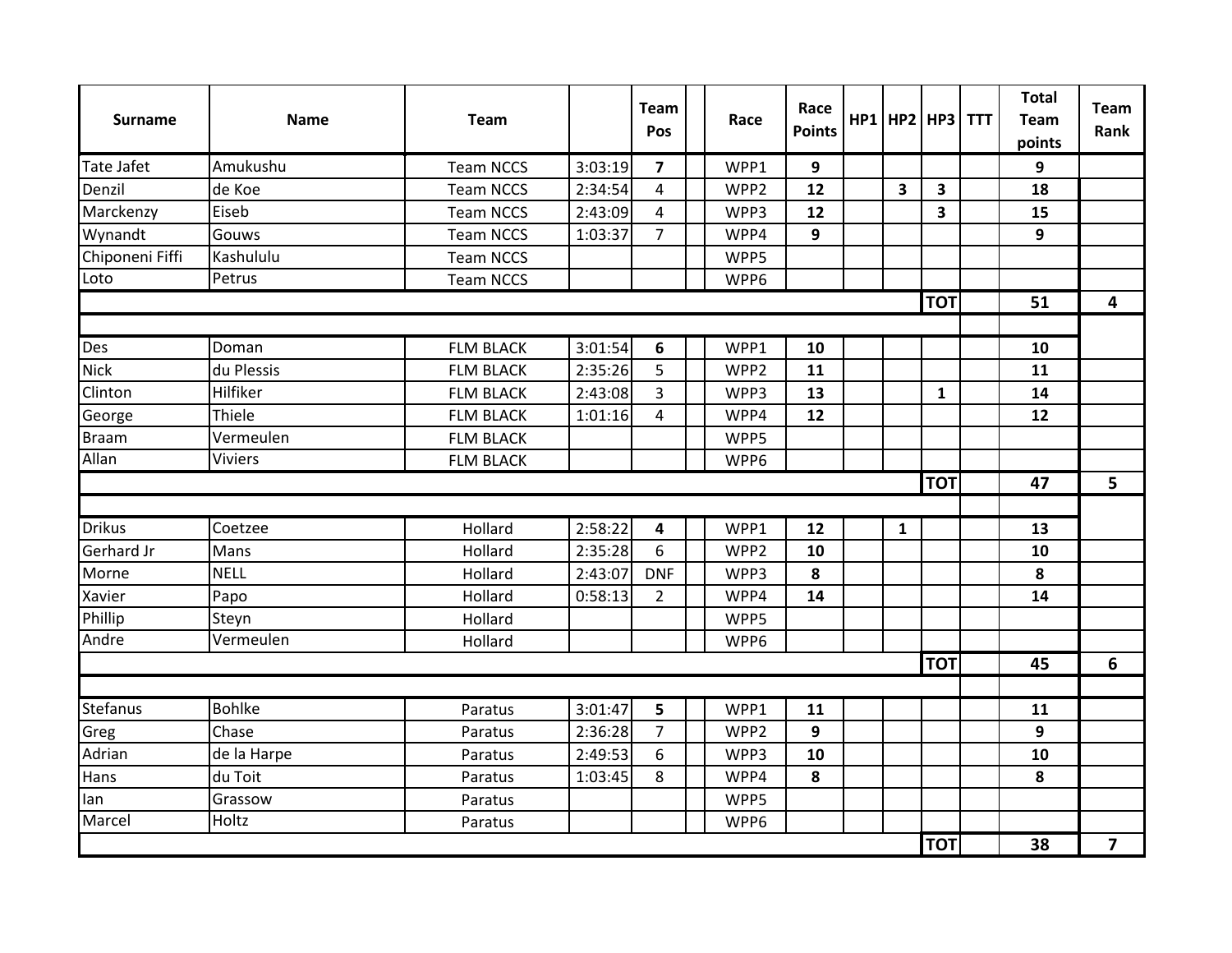| <b>Surname</b>    | <b>Name</b>   | <b>Team</b>      |         | <b>Team</b><br>Pos      | Race             | Race<br><b>Points</b> |                         | $HP1$ HP2 HP3 TTT | <b>Total</b><br><b>Team</b><br>points | <b>Team</b><br>Rank |
|-------------------|---------------|------------------|---------|-------------------------|------------------|-----------------------|-------------------------|-------------------|---------------------------------------|---------------------|
| <b>Tate Jafet</b> | Amukushu      | <b>Team NCCS</b> | 3:03:19 | $\overline{\mathbf{z}}$ | WPP1             | 9                     |                         |                   | 9                                     |                     |
| Denzil            | de Koe        | <b>Team NCCS</b> | 2:34:54 | 4                       | WPP <sub>2</sub> | 12                    | $\overline{\mathbf{3}}$ | 3                 | 18                                    |                     |
| Marckenzy         | Eiseb         | <b>Team NCCS</b> | 2:43:09 | 4                       | WPP3             | 12                    |                         | 3                 | 15                                    |                     |
| Wynandt           | Gouws         | <b>Team NCCS</b> | 1:03:37 | $\overline{7}$          | WPP4             | 9                     |                         |                   | 9                                     |                     |
| Chiponeni Fiffi   | Kashululu     | <b>Team NCCS</b> |         |                         | WPP5             |                       |                         |                   |                                       |                     |
| Loto              | Petrus        | <b>Team NCCS</b> |         |                         | WPP6             |                       |                         |                   |                                       |                     |
|                   |               |                  |         |                         |                  |                       |                         | <b>TOT</b>        | 51                                    | 4                   |
|                   |               |                  |         |                         |                  |                       |                         |                   |                                       |                     |
| Des               | Doman         | <b>FLM BLACK</b> | 3:01:54 | 6                       | WPP1             | 10                    |                         |                   | 10                                    |                     |
| <b>Nick</b>       | du Plessis    | <b>FLM BLACK</b> | 2:35:26 | 5                       | WPP2             | 11                    |                         |                   | 11                                    |                     |
| Clinton           | Hilfiker      | <b>FLM BLACK</b> | 2:43:08 | 3                       | WPP3             | 13                    |                         | $\mathbf{1}$      | 14                                    |                     |
| George            | Thiele        | <b>FLM BLACK</b> | 1:01:16 | $\overline{4}$          | WPP4             | 12                    |                         |                   | 12                                    |                     |
| <b>Braam</b>      | Vermeulen     | <b>FLM BLACK</b> |         |                         | WPP5             |                       |                         |                   |                                       |                     |
| Allan             | Viviers       | <b>FLM BLACK</b> |         |                         | WPP6             |                       |                         |                   |                                       |                     |
|                   |               |                  |         |                         |                  |                       |                         | <b>TOT</b>        | 47                                    | 5                   |
|                   |               |                  |         |                         |                  |                       |                         |                   |                                       |                     |
| <b>Drikus</b>     | Coetzee       | Hollard          | 2:58:22 | 4                       | WPP1             | 12                    | $\mathbf{1}$            |                   | 13                                    |                     |
| Gerhard Jr        | Mans          | Hollard          | 2:35:28 | 6                       | WPP <sub>2</sub> | 10                    |                         |                   | 10                                    |                     |
| Morne             | <b>NELL</b>   | Hollard          | 2:43:07 | <b>DNF</b>              | WPP3             | 8                     |                         |                   | 8                                     |                     |
| Xavier            | Papo          | Hollard          | 0:58:13 | $\overline{2}$          | WPP4             | 14                    |                         |                   | 14                                    |                     |
| Phillip           | Steyn         | Hollard          |         |                         | WPP5             |                       |                         |                   |                                       |                     |
| Andre             | Vermeulen     | Hollard          |         |                         | WPP6             |                       |                         |                   |                                       |                     |
|                   |               |                  |         |                         |                  |                       |                         | <b>TOT</b>        | 45                                    | 6                   |
|                   |               |                  |         |                         |                  |                       |                         |                   |                                       |                     |
| <b>Stefanus</b>   | <b>Bohlke</b> | Paratus          | 3:01:47 | 5                       | WPP1             | 11                    |                         |                   | 11                                    |                     |
| Greg              | Chase         | Paratus          | 2:36:28 | $\overline{7}$          | WPP <sub>2</sub> | 9                     |                         |                   | 9                                     |                     |
| Adrian            | de la Harpe   | Paratus          | 2:49:53 | 6                       | WPP3             | 10                    |                         |                   | 10                                    |                     |
| Hans              | du Toit       | Paratus          | 1:03:45 | 8                       | WPP4             | 8                     |                         |                   | 8                                     |                     |
| lan               | Grassow       | Paratus          |         |                         | WPP5             |                       |                         |                   |                                       |                     |
| Marcel            | Holtz         | Paratus          |         |                         | WPP6             |                       |                         |                   |                                       |                     |
|                   |               |                  |         |                         |                  |                       |                         | <b>TOT</b>        | 38                                    | $\overline{7}$      |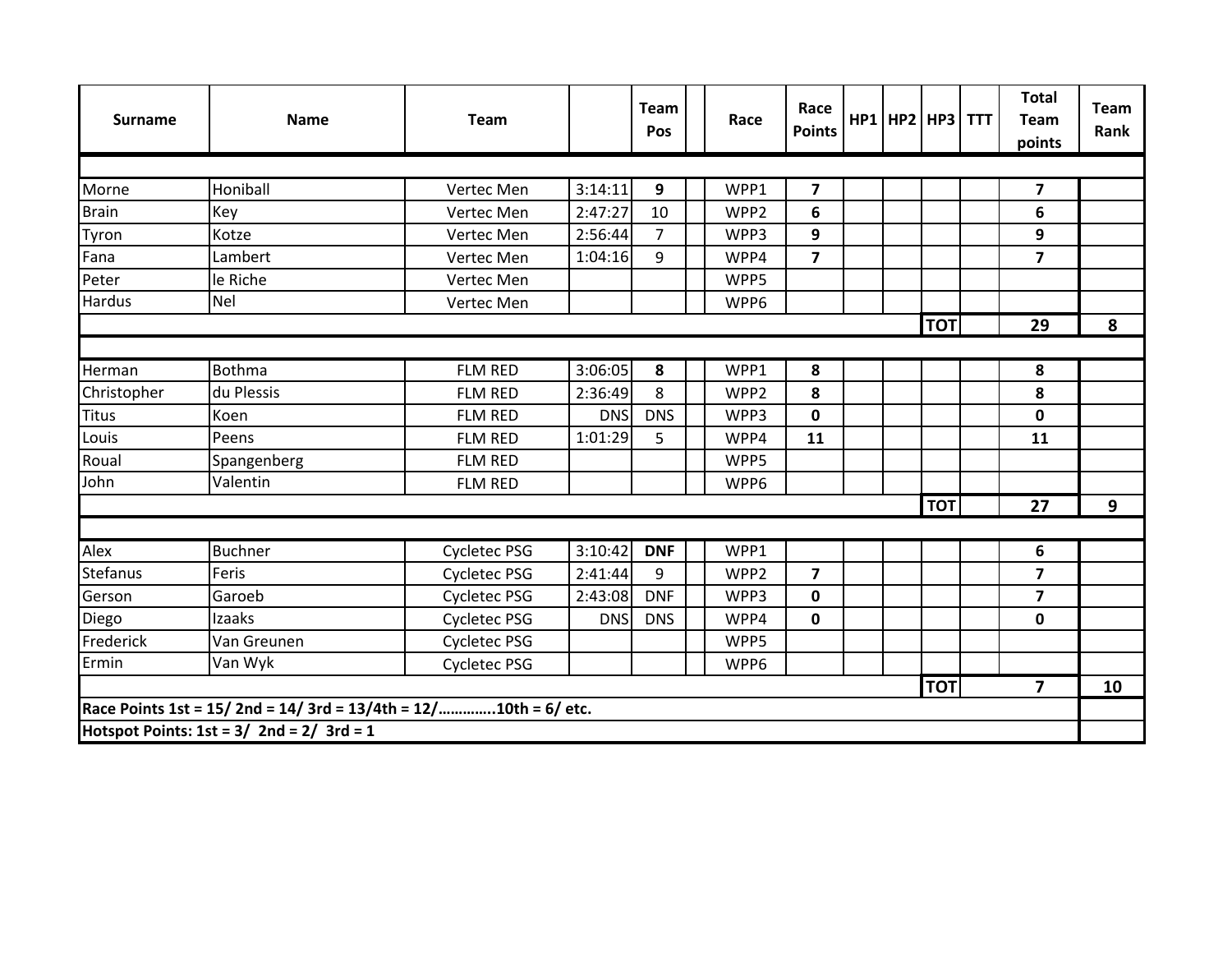| <b>Surname</b> | <b>Name</b>                                                    | <b>Team</b>         |            | <b>Team</b><br>Pos |  | Race | Race<br><b>Points</b>   |  |  | HP1 HP2 HP3 TTT |  | <b>Total</b><br><b>Team</b><br>points | <b>Team</b><br>Rank |
|----------------|----------------------------------------------------------------|---------------------|------------|--------------------|--|------|-------------------------|--|--|-----------------|--|---------------------------------------|---------------------|
|                |                                                                |                     |            |                    |  |      |                         |  |  |                 |  |                                       |                     |
| Morne          | Honiball                                                       | Vertec Men          | 3:14:11    | 9                  |  | WPP1 | 7                       |  |  |                 |  | $\overline{\mathbf{z}}$               |                     |
| <b>Brain</b>   | <b>Key</b>                                                     | Vertec Men          | 2:47:27    | 10                 |  | WPP2 | 6                       |  |  |                 |  | 6                                     |                     |
| Tyron          | Kotze                                                          | Vertec Men          | 2:56:44    | $\overline{7}$     |  | WPP3 | 9                       |  |  |                 |  | 9                                     |                     |
| Fana           | Lambert                                                        | Vertec Men          | 1:04:16    | 9                  |  | WPP4 | $\overline{7}$          |  |  |                 |  | $\overline{7}$                        |                     |
| Peter          | le Riche                                                       | Vertec Men          |            |                    |  | WPP5 |                         |  |  |                 |  |                                       |                     |
| Hardus         | <b>Nel</b>                                                     | Vertec Men          |            |                    |  | WPP6 |                         |  |  |                 |  |                                       |                     |
|                |                                                                |                     |            |                    |  |      |                         |  |  | <b>TOT</b>      |  | 29                                    | 8                   |
|                |                                                                |                     |            |                    |  |      |                         |  |  |                 |  |                                       |                     |
| Herman         | Bothma                                                         | <b>FLM RED</b>      | 3:06:05    | 8                  |  | WPP1 | 8                       |  |  |                 |  | 8                                     |                     |
| Christopher    | du Plessis                                                     | <b>FLM RED</b>      | 2:36:49    | 8                  |  | WPP2 | 8                       |  |  |                 |  | 8                                     |                     |
| <b>Titus</b>   | Koen                                                           | <b>FLM RED</b>      | <b>DNS</b> | <b>DNS</b>         |  | WPP3 | $\mathbf{0}$            |  |  |                 |  | $\mathbf 0$                           |                     |
| Louis          | Peens                                                          | <b>FLM RED</b>      | 1:01:29    | 5                  |  | WPP4 | 11                      |  |  |                 |  | 11                                    |                     |
| Roual          | Spangenberg                                                    | <b>FLM RED</b>      |            |                    |  | WPP5 |                         |  |  |                 |  |                                       |                     |
| John           | Valentin                                                       | <b>FLM RED</b>      |            |                    |  | WPP6 |                         |  |  |                 |  |                                       |                     |
|                |                                                                |                     |            |                    |  |      |                         |  |  | <b>TOT</b>      |  | 27                                    | 9                   |
|                |                                                                |                     |            |                    |  |      |                         |  |  |                 |  |                                       |                     |
| Alex           | <b>Buchner</b>                                                 | Cycletec PSG        | 3:10:42    | <b>DNF</b>         |  | WPP1 |                         |  |  |                 |  | 6                                     |                     |
| Stefanus       | Feris                                                          | <b>Cycletec PSG</b> | 2:41:44    | 9                  |  | WPP2 | $\overline{\mathbf{z}}$ |  |  |                 |  | $\overline{\mathbf{z}}$               |                     |
| Gerson         | Garoeb                                                         | <b>Cycletec PSG</b> | 2:43:08    | <b>DNF</b>         |  | WPP3 | 0                       |  |  |                 |  | 7                                     |                     |
| Diego          | Izaaks                                                         | <b>Cycletec PSG</b> | <b>DNS</b> | <b>DNS</b>         |  | WPP4 | 0                       |  |  |                 |  | $\mathbf 0$                           |                     |
| Frederick      | Van Greunen                                                    | <b>Cycletec PSG</b> |            |                    |  | WPP5 |                         |  |  |                 |  |                                       |                     |
| Ermin          | Van Wyk                                                        | <b>Cycletec PSG</b> |            |                    |  | WPP6 |                         |  |  |                 |  |                                       |                     |
|                |                                                                |                     |            |                    |  |      |                         |  |  | <b>TOT</b>      |  | $\overline{7}$                        | 10                  |
|                | Race Points 1st = 15/2nd = 14/3rd = 13/4th = 12/10th = 6/ etc. |                     |            |                    |  |      |                         |  |  |                 |  |                                       |                     |
|                | Hotspot Points: $1st = 3/2nd = 2/3rd = 1$                      |                     |            |                    |  |      |                         |  |  |                 |  |                                       |                     |